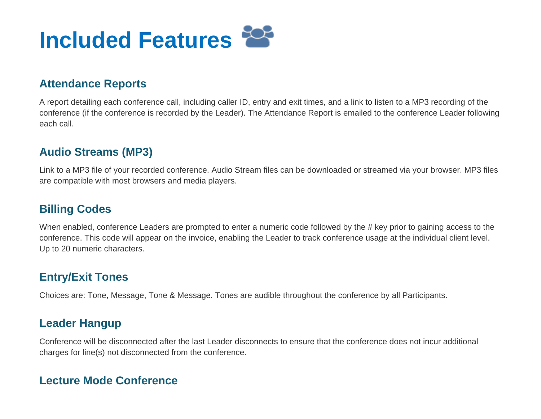

#### **Attendance Reports**

A report detailing each conference call, including caller ID, entry and exit times, and a link to listen to a MP3 recording of the conference (if the conference is recorded by the Leader). The Attendance Report is emailed to the conference Leader following each call.

#### **Audio Streams (MP3)**

Link to a MP3 file of your recorded conference. Audio Stream files can be downloaded or streamed via your browser. MP3 files are compatible with most browsers and media players.

# **Billing Codes**

When enabled, conference Leaders are prompted to enter a numeric code followed by the # key prior to gaining access to the conference. This code will appear on the invoice, enabling the Leader to track conference usage at the individual client level. Up to 20 numeric characters.

# **Entry/Exit Tones**

Choices are: Tone, Message, Tone & Message. Tones are audible throughout the conference by all Participants.

# **Leader Hangup**

Conference will be disconnected after the last Leader disconnects to ensure that the conference does not incur additional charges for line(s) not disconnected from the conference.

### **Lecture Mode Conference**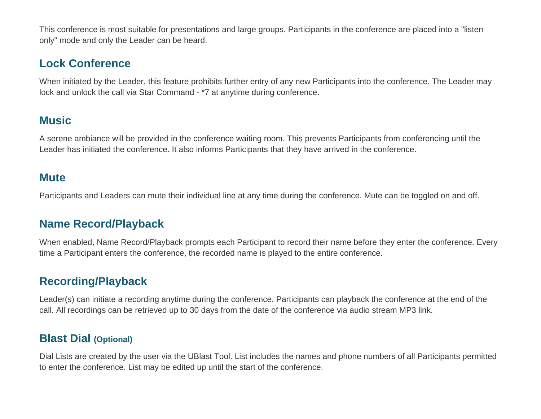This conference is most suitable for presentations and large groups. Participants in the conference are placed into a "listen only" mode and only the Leader can be heard.

# **Lock Conference**

When initiated by the Leader, this feature prohibits further entry of any new Participants into the conference. The Leader may lock and unlock the call via Star Command - \*7 at anytime during conference.

# **Music**

A serene ambiance will be provided in the conference waiting room. This prevents Participants from conferencing until the Leader has initiated the conference. It also informs Participants that they have arrived in the conference.

#### **Mute**

Participants and Leaders can mute their individual line at any time during the conference. Mute can be toggled on and off.

# **Name Record/Playback**

When enabled, Name Record/Playback prompts each Participant to record their name before they enter the conference. Every time a Participant enters the conference, the recorded name is played to the entire conference.

# **Recording/Playback**

Leader(s) can initiate a recording anytime during the conference. Participants can playback the conference at the end of the call. All recordings can be retrieved up to 30 days from the date of the conference via audio stream MP3 link.

### **Blast Dial (Optional)**

Dial Lists are created by the user via the UBlast Tool. List includes the names and phone numbers of all Participants permitted to enter the conference. List may be edited up until the start of the conference.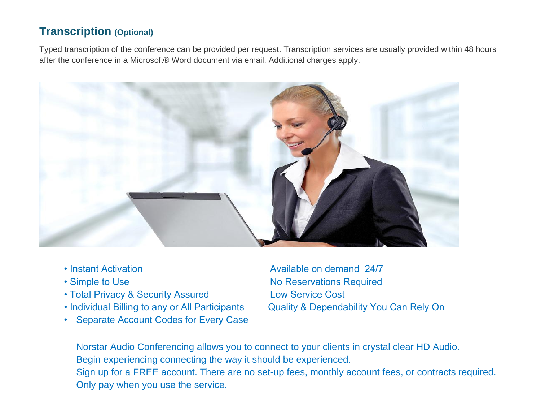# **Transcription (Optional)**

Typed transcription of the conference can be provided per request. Transcription services are usually provided within 48 hours after the conference in a Microsoft® Word document via email. Additional charges apply.



- 
- 
- Total Privacy & Security Assured Low Service Cost
- 
- Separate Account Codes for Every Case

• Instant Activation **Available on demand 24/7** • Simple to Use No Reservations Required • Individual Billing to any or All Participants Quality & Dependability You Can Rely On

Norstar Audio Conferencing allows you to connect to your clients in crystal clear HD Audio. Begin experiencing connecting the way it should be experienced. Sign up for a FREE account. There are no set-up fees, monthly account fees, or contracts required. Only pay when you use the service.